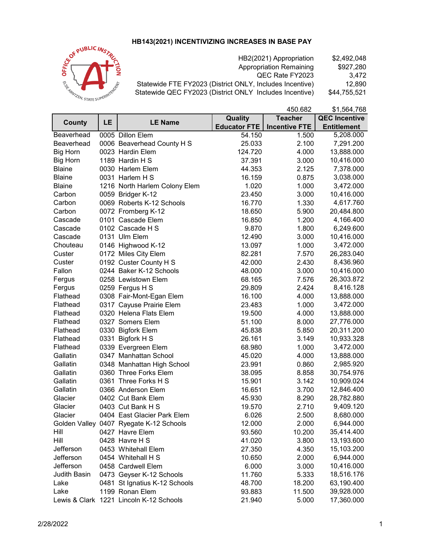## **HB143(2021) INCENTIVIZING INCREASES IN BASE PAY**



HB2(2021) Appropriation \$2,492,048<br>Appropriation Remaining \$927,280 Appropriation Remaining \$927,280<br>QEC Rate FY2023 3,472 QEC Rate FY2023 3,472<br>Includes Incentive) 12,890 Statewide FTE FY2023 (District ONLY, Includes Incentive) 12,890<br>Statewide QEC FY2023 (District ONLY Includes Incentive) \$44,755,521 Statewide QEC FY2023 (District ONLY Includes Incentive)

|                     |    |                                         |                     | 450.682              | \$1,564,768          |
|---------------------|----|-----------------------------------------|---------------------|----------------------|----------------------|
| <b>County</b>       | LE | <b>LE Name</b>                          | Quality             | <b>Teacher</b>       | <b>QEC Incentive</b> |
|                     |    |                                         | <b>Educator FTE</b> | <b>Incentive FTE</b> | <b>Entitlement</b>   |
| Beaverhead          |    | 0005 Dillon Elem                        | 54.150              | 1.500                | 5,208.000            |
| Beaverhead          |    | 0006 Beaverhead County H S              | 25.033              | 2.100                | 7,291.200            |
| <b>Big Horn</b>     |    | 0023 Hardin Elem                        | 124.720             | 4.000                | 13,888.000           |
| <b>Big Horn</b>     |    | 1189 Hardin H S                         | 37.391              | 3.000                | 10,416.000           |
| <b>Blaine</b>       |    | 0030 Harlem Elem                        | 44.353              | 2.125                | 7,378.000            |
| <b>Blaine</b>       |    | 0031 Harlem H S                         | 16.159              | 0.875                | 3,038.000            |
| <b>Blaine</b>       |    | 1216 North Harlem Colony Elem           | 1.020               | 1.000                | 3,472.000            |
| Carbon              |    | 0059 Bridger K-12                       | 23.450              | 3.000                | 10,416.000           |
| Carbon              |    | 0069 Roberts K-12 Schools               | 16.770              | 1.330                | 4,617.760            |
| Carbon              |    | 0072 Fromberg K-12                      | 18.650              | 5.900                | 20,484.800           |
| Cascade             |    | 0101 Cascade Elem                       | 16.850              | 1.200                | 4,166.400            |
| Cascade             |    | 0102 Cascade H S                        | 9.870               | 1.800                | 6,249.600            |
| Cascade             |    | 0131 Ulm Elem                           | 12.490              | 3.000                | 10,416.000           |
| Chouteau            |    | 0146 Highwood K-12                      | 13.097              | 1.000                | 3,472.000            |
| Custer              |    | 0172 Miles City Elem                    | 82.281              | 7.570                | 26,283.040           |
| Custer              |    | 0192 Custer County H S                  | 42.000              | 2.430                | 8,436.960            |
| Fallon              |    | 0244 Baker K-12 Schools                 | 48.000              | 3.000                | 10,416.000           |
| Fergus              |    | 0258 Lewistown Elem                     | 68.165              | 7.576                | 26,303.872           |
| Fergus              |    | 0259 Fergus H S                         | 29.809              | 2.424                | 8,416.128            |
| Flathead            |    | 0308 Fair-Mont-Egan Elem                | 16.100              | 4.000                | 13,888.000           |
| Flathead            |    | 0317 Cayuse Prairie Elem                | 23.483              | 1.000                | 3,472.000            |
| Flathead            |    | 0320 Helena Flats Elem                  | 19.500              | 4.000                | 13,888.000           |
| Flathead            |    | 0327 Somers Elem                        | 51.100              | 8.000                | 27,776.000           |
| Flathead            |    | 0330 Bigfork Elem                       | 45.838              | 5.850                | 20,311.200           |
| Flathead            |    | 0331 Bigfork H S                        | 26.161              | 3.149                | 10,933.328           |
| Flathead            |    | 0339 Evergreen Elem                     | 68.980              | 1.000                | 3,472.000            |
| Gallatin            |    | 0347 Manhattan School                   | 45.020              | 4.000                | 13,888.000           |
| Gallatin            |    | 0348 Manhattan High School              | 23.991              | 0.860                | 2,985.920            |
| Gallatin            |    | 0360 Three Forks Elem                   | 38.095              | 8.858                | 30,754.976           |
| Gallatin            |    | 0361 Three Forks H S                    | 15.901              | 3.142                | 10,909.024           |
| Gallatin            |    | 0366 Anderson Elem                      | 16.651              | 3.700                | 12,846.400           |
| Glacier             |    | 0402 Cut Bank Elem                      | 45.930              | 8.290                | 28,782.880           |
| Glacier             |    | 0403 Cut Bank H S                       | 19.570              | 2.710                | 9,409.120            |
| Glacier             |    | 0404 East Glacier Park Elem             | 6.026               | 2.500                | 8,680.000            |
|                     |    | Golden Valley 0407 Ryegate K-12 Schools | 12.000              | 2.000                | 6,944.000            |
| Hill                |    | 0427 Havre Elem                         | 93.560              | 10.200               | 35,414.400           |
| Hill                |    | 0428 Havre H S                          | 41.020              | 3.800                | 13,193.600           |
| Jefferson           |    | 0453 Whitehall Elem                     | 27.350              | 4.350                | 15,103.200           |
| Jefferson           |    | 0454 Whitehall H S                      | 10.650              | 2.000                | 6,944.000            |
| Jefferson           |    | 0458 Cardwell Elem                      | 6.000               | 3.000                | 10,416.000           |
| <b>Judith Basin</b> |    | 0473 Geyser K-12 Schools                | 11.760              | 5.333                | 18,516.176           |
| Lake                |    | 0481 St Ignatius K-12 Schools           | 48.700              | 18.200               | 63,190.400           |
| Lake                |    | 1199 Ronan Elem                         | 93.883              | 11.500               | 39,928.000           |
|                     |    | Lewis & Clark 1221 Lincoln K-12 Schools | 21.940              | 5.000                | 17,360.000           |